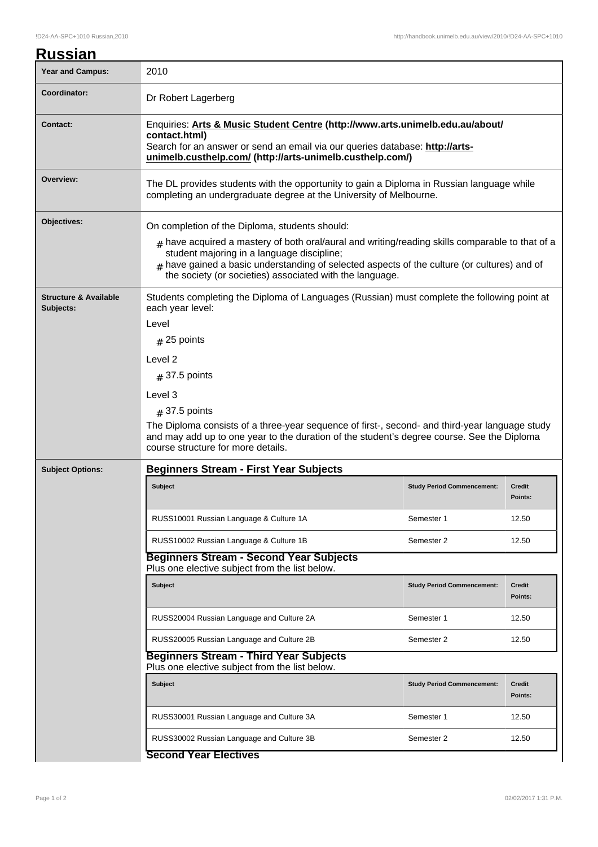|  | <b>Russian</b> |
|--|----------------|
|  |                |

| <b>Year and Campus:</b>                       | 2010                                                                                                                                                                                                                                                                                                                |                                   |                          |  |  |
|-----------------------------------------------|---------------------------------------------------------------------------------------------------------------------------------------------------------------------------------------------------------------------------------------------------------------------------------------------------------------------|-----------------------------------|--------------------------|--|--|
| Coordinator:                                  | Dr Robert Lagerberg                                                                                                                                                                                                                                                                                                 |                                   |                          |  |  |
| <b>Contact:</b>                               | Enquiries: Arts & Music Student Centre (http://www.arts.unimelb.edu.au/about/<br>contact.html)<br>Search for an answer or send an email via our queries database: http://arts-<br>unimelb.custhelp.com/ (http://arts-unimelb.custhelp.com/)                                                                         |                                   |                          |  |  |
| Overview:                                     | The DL provides students with the opportunity to gain a Diploma in Russian language while<br>completing an undergraduate degree at the University of Melbourne.                                                                                                                                                     |                                   |                          |  |  |
| Objectives:                                   | On completion of the Diploma, students should:                                                                                                                                                                                                                                                                      |                                   |                          |  |  |
|                                               | $_{\rm #}$ have acquired a mastery of both oral/aural and writing/reading skills comparable to that of a<br>student majoring in a language discipline;<br>$#$ have gained a basic understanding of selected aspects of the culture (or cultures) and of<br>the society (or societies) associated with the language. |                                   |                          |  |  |
| <b>Structure &amp; Available</b><br>Subjects: | Students completing the Diploma of Languages (Russian) must complete the following point at<br>each year level:                                                                                                                                                                                                     |                                   |                          |  |  |
|                                               | Level                                                                                                                                                                                                                                                                                                               |                                   |                          |  |  |
|                                               | $#$ 25 points                                                                                                                                                                                                                                                                                                       |                                   |                          |  |  |
|                                               | Level 2                                                                                                                                                                                                                                                                                                             |                                   |                          |  |  |
|                                               | $#$ 37.5 points                                                                                                                                                                                                                                                                                                     |                                   |                          |  |  |
|                                               | Level 3                                                                                                                                                                                                                                                                                                             |                                   |                          |  |  |
|                                               | $#$ 37.5 points                                                                                                                                                                                                                                                                                                     |                                   |                          |  |  |
|                                               | The Diploma consists of a three-year sequence of first-, second- and third-year language study<br>and may add up to one year to the duration of the student's degree course. See the Diploma<br>course structure for more details.                                                                                  |                                   |                          |  |  |
| <b>Subject Options:</b>                       | <b>Beginners Stream - First Year Subjects</b>                                                                                                                                                                                                                                                                       |                                   |                          |  |  |
|                                               | <b>Subject</b>                                                                                                                                                                                                                                                                                                      | <b>Study Period Commencement:</b> | <b>Credit</b><br>Points: |  |  |
|                                               | RUSS10001 Russian Language & Culture 1A<br>Semester 1                                                                                                                                                                                                                                                               |                                   | 12.50                    |  |  |
|                                               | RUSS10002 Russian Language & Culture 1B<br>Semester 2                                                                                                                                                                                                                                                               |                                   | 12.50                    |  |  |
|                                               | <b>Beginners Stream - Second Year Subjects</b><br>Plus one elective subject from the list below.                                                                                                                                                                                                                    |                                   |                          |  |  |
|                                               | Subject                                                                                                                                                                                                                                                                                                             | <b>Study Period Commencement:</b> | Credit<br>Points:        |  |  |
|                                               | RUSS20004 Russian Language and Culture 2A<br>Semester 1                                                                                                                                                                                                                                                             |                                   | 12.50                    |  |  |
|                                               | RUSS20005 Russian Language and Culture 2B<br>Semester 2                                                                                                                                                                                                                                                             |                                   | 12.50                    |  |  |
|                                               | <b>Beginners Stream - Third Year Subjects</b><br>Plus one elective subject from the list below.                                                                                                                                                                                                                     |                                   |                          |  |  |
|                                               | <b>Subject</b>                                                                                                                                                                                                                                                                                                      | <b>Study Period Commencement:</b> | Credit<br>Points:        |  |  |
|                                               | RUSS30001 Russian Language and Culture 3A<br>Semester 1                                                                                                                                                                                                                                                             |                                   | 12.50                    |  |  |
|                                               | RUSS30002 Russian Language and Culture 3B<br>Semester 2                                                                                                                                                                                                                                                             |                                   | 12.50                    |  |  |
|                                               | <b>Second Year Electives</b>                                                                                                                                                                                                                                                                                        |                                   |                          |  |  |